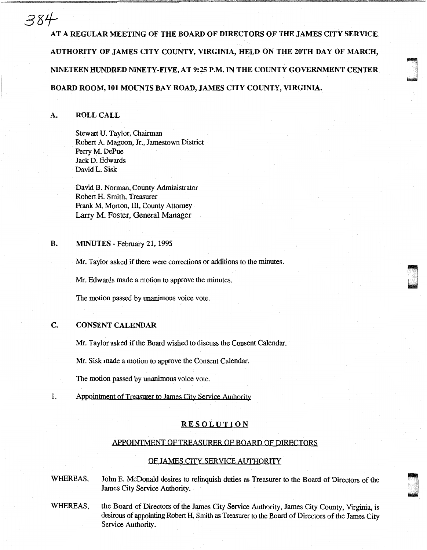# 3Z1-'

AT A REGULAR MEETING OF THE BOARD OF DIRECTORS OF THE JAMES CITY SERVICE AUTHORITY OF JAMES CITY COUNTY, VIRGINIA, HELD ON THE 20TH DAY OF MARCH, NINETEEN HUNDRED NINETY-FIVE, AT 9:25 P.M. IN THE COUNTY GOVERNMENT CENTER BOARD ROOM, 101 MOUNTS BAY ROAD, JAMES CITY COUNTY, VIRGINIA.

iri u<br>irisk

D

# A. ROLL CALL

Stewart U. Taylor, Chairman Robert A. Magoon, Jr., Jamestown District Perry M. DePue Jack D. Edwards David L. Sisk

David B. Norman, County Administrator Robert H. Smith, Treasurer Frank M. Morton, III, County Attorney Larry M. Foster, General Manager

#### B. MINUTES - February 21, 1995

Mr. Taylor asked if there were corrections or additions to the minutes.

Mr. Edwards made a motion to approve the minutes.

The motion passed by unanimous voice vote.

## C. CONSENT CALENDAR

Mr. Taylor asked if the Board wished to discuss the Consent Calendar.

Mr. Sisk made a motion to approve the Consent Calendar.

The motion passed by unanimous voice vote.

1. Appointment of Treasurer to James City Service Authority

# RESOLUTION

#### APPOINTMENT OF TREASURER OF BOARD OF DIRECTORS

## OF JAMES CITY SERVICE AUTHORITY

WHEREAS, John E. McDonald desires to relinquish duties as Treasurer to the Board of Directors of the James City Service Authority.

WHEREAS, the Board of Directors of the James City Service Authority, James City County, Virginia, is desirous of appointing Robert H. Smith as Treasurer to the Board of Directors of the James City Service Authority.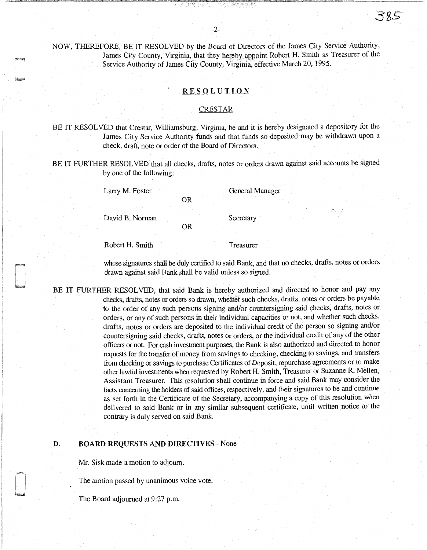NOW, THEREFORE, BE IT RESOLVED by the Board of Directors of the James City Service Authority, James City County, Virginia, that they hereby appoint Robert H. Smith as Treasurer of the Service Authority of James City County, Virginia, effective March 20, 1995.

## RESOLUTION

#### **CRESTAR**

BE IT RESOLVED that Crestar, Williamsburg, Virginia, be and it is hereby designated a depository for the James City Service Authority funds and that funds so deposited may be withdrawn upon a check, draft, note or order of the Board of Directors.

BE IT FURTHER RESOLVED that all checks, drafts, notes or orders drawn against said accounts be signed by one of the following:

OR

OR

Larry M. Foster General Manager

David B. Norman Secretary

Robert H. Smith Treasurer

whose signatures shall be duly certified to said Bank, and that no checks, drafts, notes or orders drawn against said Bank shall be valid unless so signed.

BE IT FURTHER RESOLVED, that said Bank is hereby authorized and directed to honor and pay any checks, drafts, notes or orders so drawn, whether such checks, drafts, notes or orders be payable to the order of any such persons signing and/or countersigning said checks, drafts, notes or orders, or any of such persons in their individual capacities or not, and whether such checks, drafts, notes or orders are deposited to the individual credit of the person so signing and/or countersigning said checks, drafts, notes or orders, or the individual credit of any of the other officers or not. For cash investment purposes, the Bank is also authorized and directed to honor requests for the transfer of money from savings to checking, checking to savings, and transfers from checking or savings to purchase Certificates of Deposit, repurchase agreements or to make other lawful investments when requested by Robert H. Smith, Treasurer or Suzanne R. Mellen, Assistant Treasurer. This resolution shall continue in force and said Bank may consider the facts concerning the holders of said offices, respectively, and their signatures to be and continue as set forth in the Certificate of the Secretary, accompanying a copy of this resolution when delivered to said Bank or in any similar subsequent certificate, until written notice to the contrary is duly served on said Bank.

#### D. BOARD REQUESTS AND DIRECTIVES - None

Mr. Sisk made a motion to adjourn.

The motion passed by unanimous voice vote.

The Board adjourned at 9:27 p.m.

er ter